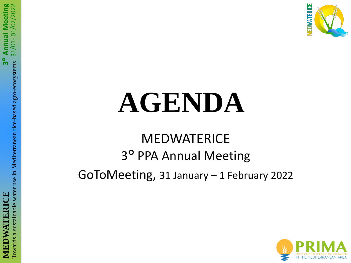

# **AGENDA**

### **MEDWATERICE** 3 ° PPA Annual Meeting GoToMeeting, 31 January – 1 February 2022

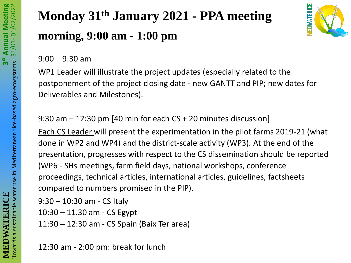# **Monday 31th January 2021 - PPA meeting morning, 9:00 am - 1:00 pm**



9:00 – 9:30 am

WP1 Leader will illustrate the project updates (especially related to the postponement of the project closing date - new GANTT and PIP; new dates for Deliverables and Milestones).

9:30 am – 12:30 pm [40 min for each CS + 20 minutes discussion]

Each CS Leader will present the experimentation in the pilot farms 2019-21 (what done in WP2 and WP4) and the district-scale activity (WP3). At the end of the presentation, progresses with respect to the CS dissemination should be reported (WP6 - SHs meetings, farm field days, national workshops, conference proceedings, technical articles, international articles, guidelines, factsheets compared to numbers promised in the PIP).

```
9:30 – 10:30 am - CS Italy
```
10:30 – 11.30 am - CS Egypt

11:30 **–** 12:30 am - CS Spain (Baix Ter area)

12:30 am - 2:00 pm: break for lunch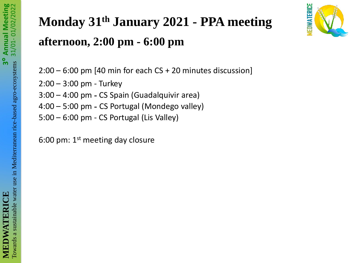

### **Monday 31th January 2021 - PPA meeting afternoon, 2:00 pm - 6:00 pm**

2:00 – 6:00 pm [40 min for each CS + 20 minutes discussion]

2:00 – 3:00 pm - Turkey

3:00 – 4:00 pm **-** CS Spain (Guadalquivir area)

4:00 – 5:00 pm **-** CS Portugal (Mondego valley)

5:00 – 6:00 pm - CS Portugal (Lis Valley)

6:00 pm:  $1<sup>st</sup>$  meeting day closure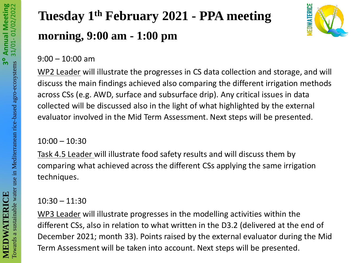# **Tuesday 1th February 2021 - PPA meeting morning, 9:00 am - 1:00 pm**



9:00 – 10:00 am

WP2 Leader will illustrate the progresses in CS data collection and storage, and will discuss the main findings achieved also comparing the different irrigation methods across CSs (e.g. AWD, surface and subsurface drip). Any critical issues in data collected will be discussed also in the light of what highlighted by the external evaluator involved in the Mid Term Assessment. Next steps will be presented.

#### 10:00 – 10:30

Task 4.5 Leader will illustrate food safety results and will discuss them by comparing what achieved across the different CSs applying the same irrigation techniques.

10:30 – 11:30

WP3 Leader will illustrate progresses in the modelling activities within the different CSs, also in relation to what written in the D3.2 (delivered at the end of December 2021; month 33). Points raised by the external evaluator during the Mid Term Assessment will be taken into account. Next steps will be presented.